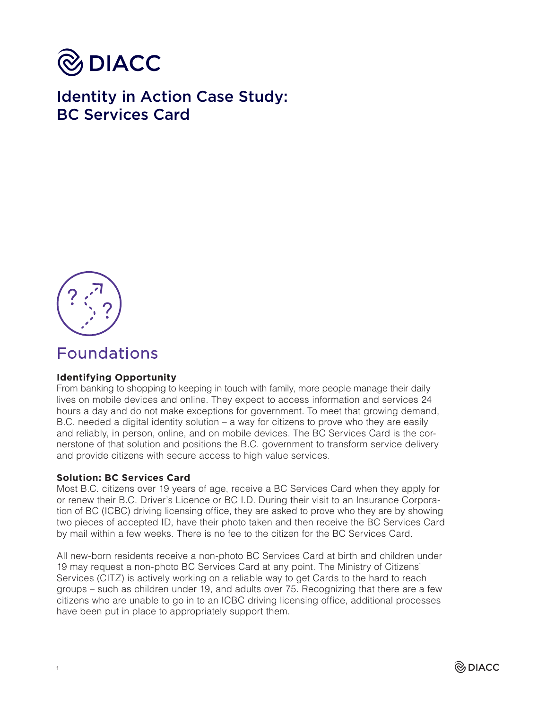

Identity in Action Case Study: BC Services Card



# Foundations

## **Identifying Opportunity**

From banking to shopping to keeping in touch with family, more people manage their daily lives on mobile devices and online. They expect to access information and services 24 hours a day and do not make exceptions for government. To meet that growing demand, B.C. needed a digital identity solution – a way for citizens to prove who they are easily and reliably, in person, online, and on mobile devices. The BC Services Card is the cornerstone of that solution and positions the B.C. government to transform service delivery and provide citizens with secure access to high value services.

### **Solution: BC Services Card**

Most B.C. citizens over 19 years of age, receive a BC Services Card when they apply for or renew their B.C. Driver's Licence or BC I.D. During their visit to an Insurance Corporation of BC (ICBC) driving licensing office, they are asked to prove who they are by showing two pieces of accepted ID, have their photo taken and then receive the BC Services Card by mail within a few weeks. There is no fee to the citizen for the BC Services Card.

All new-born residents receive a non-photo BC Services Card at birth and children under 19 may request a non-photo BC Services Card at any point. The Ministry of Citizens' Services (CITZ) is actively working on a reliable way to get Cards to the hard to reach groups – such as children under 19, and adults over 75. Recognizing that there are a few citizens who are unable to go in to an ICBC driving licensing office, additional processes have been put in place to appropriately support them.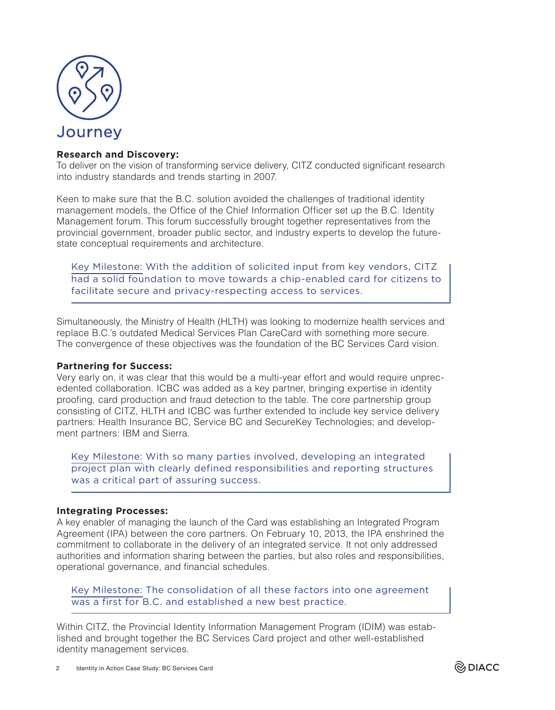

### **Research and Discovery:**

To deliver on the vision of transforming service delivery, CITZ conducted significant research into industry standards and trends starting in 2007.

Keen to make sure that the B.C. solution avoided the challenges of traditional identity management models, the Office of the Chief Information Officer set up the B.C. Identity Management forum. This forum successfully brought together representatives from the provincial government, broader public sector, and industry experts to develop the futurestate conceptual requirements and architecture.

Key Milestone: With the addition of solicited input from key vendors, CITZ had a solid foundation to move towards a chip-enabled card for citizens to facilitate secure and privacy-respecting access to services.

Simultaneously, the Ministry of Health (HLTH) was looking to modernize health services and replace B.C.'s outdated Medical Services Plan CareCard with something more secure. The convergence of these objectives was the foundation of the BC Services Card vision.

### **Partnering for Success:**

Very early on, it was clear that this would be a multi-year effort and would require unprecedented collaboration. ICBC was added as a key partner, bringing expertise in identity proofing, card production and fraud detection to the table. The core partnership group consisting of CITZ, HLTH and ICBC was further extended to include key service delivery partners: Health Insurance BC, Service BC and SecureKey Technologies; and development partners: IBM and Sierra.

Key Milestone: With so many parties involved, developing an integrated project plan with clearly defined responsibilities and reporting structures was a critical part of assuring success.

### **Integrating Processes:**

A key enabler of managing the launch of the Card was establishing an Integrated Program Agreement (IPA) between the core partners. On February 10, 2013, the IPA enshrined the commitment to collaborate in the delivery of an integrated service. It not only addressed authorities and information sharing between the parties, but also roles and responsibilities, operational governance, and financial schedules.

Key Milestone: The consolidation of all these factors into one agreement was a first for B.C. and established a new best practice.

Within CITZ, the Provincial Identity Information Management Program (IDIM) was established and brought together the BC Services Card project and other well-established identity management services.

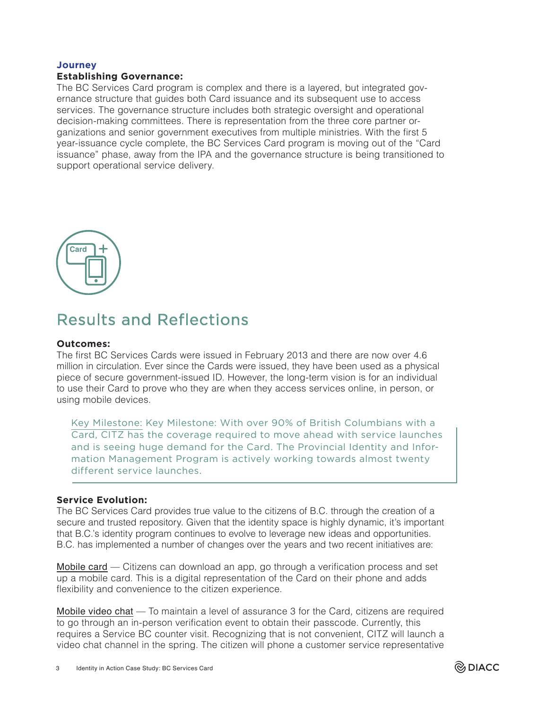### **Journey Establishing Governance:**

The BC Services Card program is complex and there is a layered, but integrated governance structure that guides both Card issuance and its subsequent use to access services. The governance structure includes both strategic oversight and operational decision-making committees. There is representation from the three core partner organizations and senior government executives from multiple ministries. With the first 5 year-issuance cycle complete, the BC Services Card program is moving out of the "Card issuance" phase, away from the IPA and the governance structure is being transitioned to support operational service delivery.



# Results and Reflections

### **Outcomes:**

The first BC Services Cards were issued in February 2013 and there are now over 4.6 million in circulation. Ever since the Cards were issued, they have been used as a physical piece of secure government-issued ID. However, the long-term vision is for an individual to use their Card to prove who they are when they access services online, in person, or using mobile devices.

Key Milestone: Key Milestone: With over 90% of British Columbians with a Card, CITZ has the coverage required to move ahead with service launches and is seeing huge demand for the Card. The Provincial Identity and Information Management Program is actively working towards almost twenty different service launches.

### **Service Evolution:**

The BC Services Card provides true value to the citizens of B.C. through the creation of a secure and trusted repository. Given that the identity space is highly dynamic, it's important that B.C.'s identity program continues to evolve to leverage new ideas and opportunities. B.C. has implemented a number of changes over the years and two recent initiatives are:

Mobile card — Citizens can download an app, go through a verification process and set up a mobile card. This is a digital representation of the Card on their phone and adds flexibility and convenience to the citizen experience.

Mobile video chat — To maintain a level of assurance 3 for the Card, citizens are required to go through an in-person verification event to obtain their passcode. Currently, this requires a Service BC counter visit. Recognizing that is not convenient, CITZ will launch a video chat channel in the spring. The citizen will phone a customer service representative

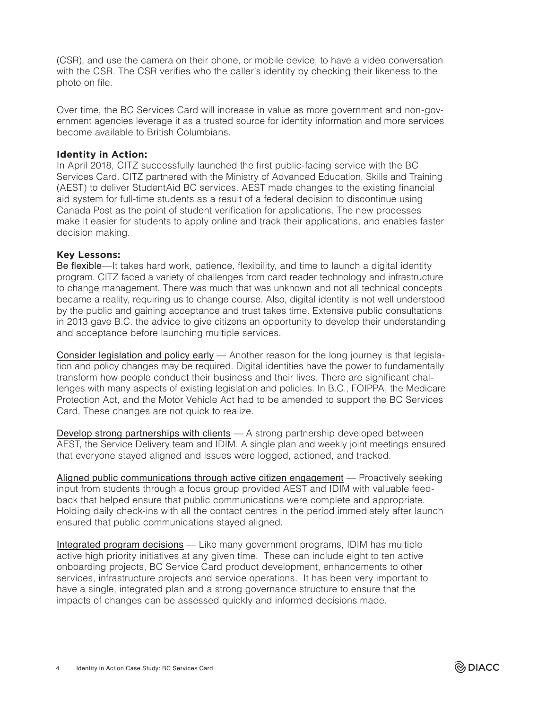(CSR), and use the camera on their phone, or mobile device, to have a video conversation with the CSR. The CSR verifies who the caller's identity by checking their likeness to the photo on file.

Over time, the BC Services Card will increase in value as more government and non-government agencies leverage it as a trusted source for identity information and more services become available to British Columbians.

### **Identity in Action:**

In April 2018, CITZ successfully launched the first public-facing service with the BC Services Card. CITZ partnered with the Ministry of Advanced Education, Skills and Training (AEST) to deliver StudentAid BC services. AEST made changes to the existing financial aid system for full-time students as a result of a federal decision to discontinue using Canada Post as the point of student verification for applications. The new processes make it easier for students to apply online and track their applications, and enables faster decision making.

#### **Key Lessons:**

Be flexible—It takes hard work, patience, flexibility, and time to launch a digital identity program. CITZ faced a variety of challenges from card reader technology and infrastructure to change management. There was much that was unknown and not all technical concepts became a reality, requiring us to change course. Also, digital identity is not well understood by the public and gaining acceptance and trust takes time. Extensive public consultations in 2013 gave B.C. the advice to give citizens an opportunity to develop their understanding and acceptance before launching multiple services.

Consider legislation and policy early - Another reason for the long journey is that legislation and policy changes may be required. Digital identities have the power to fundamentally transform how people conduct their business and their lives. There are significant challenges with many aspects of existing legislation and policies. In B.C., FOIPPA, the Medicare Protection Act, and the Motor Vehicle Act had to be amended to support the BC Services Card. These changes are not quick to realize.

Develop strong partnerships with clients — A strong partnership developed between AEST, the Service Delivery team and IDIM. A single plan and weekly joint meetings ensured that everyone stayed aligned and issues were logged, actioned, and tracked.

Aligned public communications through active citizen engagement — Proactively seeking input from students through a focus group provided AEST and IDIM with valuable feedback that helped ensure that public communications were complete and appropriate. Holding daily check-ins with all the contact centres in the period immediately after launch ensured that public communications stayed aligned.

Integrated program decisions - Like many government programs, IDIM has multiple active high priority initiatives at any given time. These can include eight to ten active onboarding projects, BC Service Card product development, enhancements to other services, infrastructure projects and service operations. It has been very important to have a single, integrated plan and a strong governance structure to ensure that the impacts of changes can be assessed quickly and informed decisions made.